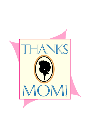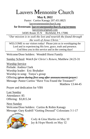# Lauvers Mennonite Church

**May 8, 2022**

Pastor: Curtiss Kanagy 207.431.8825 [lauversmennonitechurch.org](http://www.lauversmennonitechurch.org/)

**for livestream: lauversmennonitechurch.org/sermons**

[lauversmc@gmail.com](mailto:lauversmc@gmail.com)

34585 Route 35 N Richfield, PA 17086

*"Our mission is to seek the lost and nourish the found through the work of Jesus Christ."*

WELCOME to our visitors today! Please join us in worshipping the Lord and in experiencing His love, grace, truth and presence. God bless you in this service and in the coming days!

Welcome/Door holders: Wendell Horst Family

Sunday School: *Watch for Christ's Return,* Matthew 24:23-31

Worship Service Prelude: Andrea Clark Worship leader: Eric Brubaker Worship in song: Tonya's group Offering *(given during first song after announcements/prayer)* Message: Pastor Curtiss "Have You Found the Treasure?"

Matthew 13:44-45

Prayer and dedication for VBS

Last Sunday Attendance: 85 Offering: \$3,815.34

Next Sunday Welcome/Door holders: Curtiss & Robin Kanagy<br>Message: Gary Krabill "Getting Dressed" Colossis<br>
Cody & C Message: Gary Krabill "Getting Dressed" Colossians 3:1-17



Cody & Gina Martin on May 10 Jay & Hope Shenk on May 12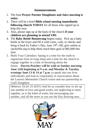# **Announcements**

- 1. The final **Prayer Partner Doughnuts and Juice morning is today**.
- 2. There will be a brief **Bible school meeting immediately following church TODAY** for all those who signed up to help this year.
- 3. Also, please sign up at the back of the church **if your children are planning to attend VBS**.
- 4. The **Baby Bottle Boomerang** begins today. Pick up a baby bottle in the foyer and fill it with coins, cash, or checks and bring it back by Father's Day, June 19th, OR, give online at cpcforlife.org to help them reach their goal of \$85,000 this year.
- 5. Mark Your Calendars: Spring is a time for the earth to regenerate from its long sleep and a time for the church to engage together in a time of dreaming about the

future. **Darren Peachey will be with us Sunday morning June 12th beginning at 9 a.m. and Monday & Tuesday evenings June 13 & 14 at 7 p.m.** to speak into our lives individually and lead us corporately in conversation about the Lauvers Mennonite Church vision and our partnership in God's Kingdom.

Hebrews 10:24–25 (ESV) And let us consider how to stir up one another to love and good works, not neglecting to meet together, as is the habit of some, but encouraging one another, and all the more as you see the Day drawing near.

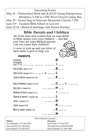Upcoming Events

May 21 – Homeschool Book Sale & JCCH Young Entrepreneur Mrktplace, 9 AM to 1 PM, River Church Comm. Rm. May 29 – Hymn Sing at Delaware Mennonite Church, 7 PM June 5-9 – Vacation Bible School at Lauvers! June 12-14 – Renewal meetings with Darren Peachey

# **Bible Parents and Children**

All of the men and women that we read about in Bible stories were once children — just like you! Here are some Biblical parents. Can you name their children?

A verse to look up and one letter of each name is give to help you.



### **DADENTS**

| Zechariah<br>в<br>& Elizabeth<br>--- --- ---<br>(Luke 1:11-14)<br>в<br>Ruth & Boaz (Ruth 4:13-17)<br>Adam & Eve (Genesis 4:1-2) $\_\_ \_\_ \_\_ \_ \$<br>Jacob & Rachel (Genesis 35:23-24)<br>-- & ---<br>Isaac & Rebekah (Genesis 25:24-26)<br>Н<br>$   -$<br>King Saul (1 Samuel 18:1)<br>Abraham & Sarah (Genesis 21:2-3)<br>Elkanah & Hannah (1 Samuel 1:20)<br>D<br>Jesse (1 Samuel 17:12)<br>R<br>Laban (Genesis 29:10)<br>Ε<br>Mary & Joseph (Matthew 1:18)<br>N | ганын э |  |
|-------------------------------------------------------------------------------------------------------------------------------------------------------------------------------------------------------------------------------------------------------------------------------------------------------------------------------------------------------------------------------------------------------------------------------------------------------------------------|---------|--|
|                                                                                                                                                                                                                                                                                                                                                                                                                                                                         |         |  |
|                                                                                                                                                                                                                                                                                                                                                                                                                                                                         |         |  |
|                                                                                                                                                                                                                                                                                                                                                                                                                                                                         |         |  |
|                                                                                                                                                                                                                                                                                                                                                                                                                                                                         |         |  |
|                                                                                                                                                                                                                                                                                                                                                                                                                                                                         |         |  |

Our Church Council

Eric Brubaker 717-363-7014 Neil Glick 717-513-2717 Elvin Ranck 717-363-1077 David Martin 717-363-7081

**Elders: Deacons:** Nevin Glick 717-320-2612 Wendell Horst 570-541-8784